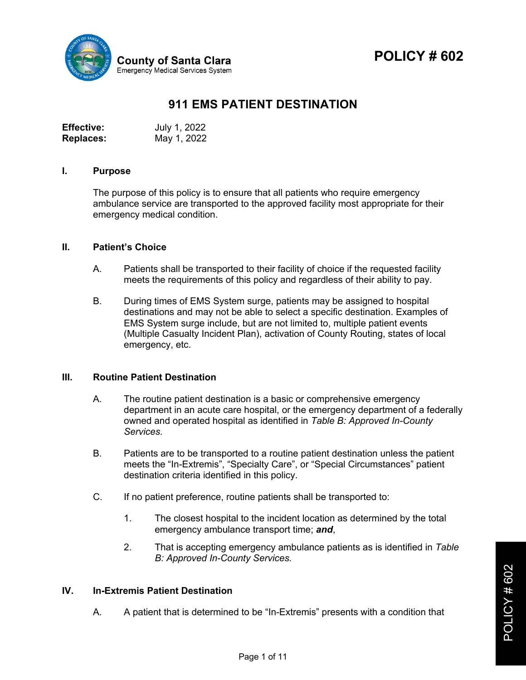

**POLICY # 602**



# **911 EMS PATIENT DESTINATION**

| <b>Effective:</b> | July 1, 2022 |
|-------------------|--------------|
| <b>Replaces:</b>  | May 1, 2022  |

#### **I. Purpose**

The purpose of this policy is to ensure that all patients who require emergency ambulance service are transported to the approved facility most appropriate for their emergency medical condition.

#### **II. Patient's Choice**

- A. Patients shall be transported to their facility of choice if the requested facility meets the requirements of this policy and regardless of their ability to pay.
- B. During times of EMS System surge, patients may be assigned to hospital destinations and may not be able to select a specific destination. Examples of EMS System surge include, but are not limited to, multiple patient events (Multiple Casualty Incident Plan), activation of County Routing, states of local emergency, etc.

#### **III. Routine Patient Destination**

- A. The routine patient destination is a basic or comprehensive emergency department in an acute care hospital, or the emergency department of a federally owned and operated hospital as identified in *Table B: Approved In-County Services.*
- B. Patients are to be transported to a routine patient destination unless the patient meets the "In-Extremis", "Specialty Care", or "Special Circumstances" patient destination criteria identified in this policy.
- C. If no patient preference, routine patients shall be transported to:
	- 1. The closest hospital to the incident location as determined by the total emergency ambulance transport time; *and*,
	- 2. That is accepting emergency ambulance patients as is identified in *Table B: Approved In-County Services.*

## **IV. In-Extremis Patient Destination**

A. A patient that is determined to be "In-Extremis" presents with a condition that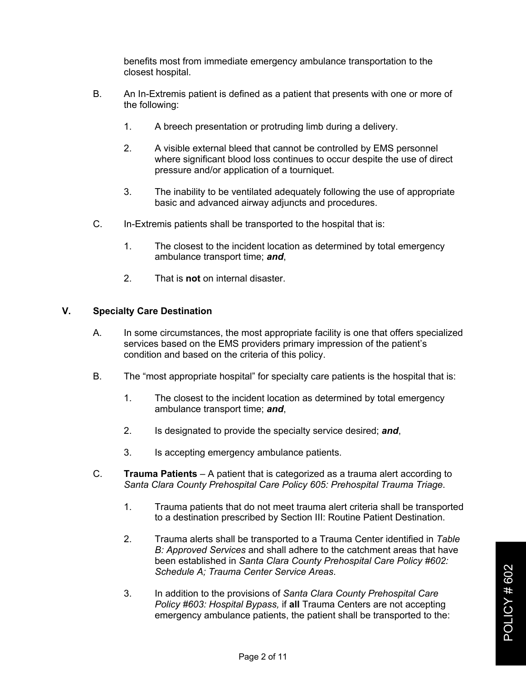benefits most from immediate emergency ambulance transportation to the closest hospital.

- B. An In-Extremis patient is defined as a patient that presents with one or more of the following:
	- 1. A breech presentation or protruding limb during a delivery.
	- 2. A visible external bleed that cannot be controlled by EMS personnel where significant blood loss continues to occur despite the use of direct pressure and/or application of a tourniquet.
	- 3. The inability to be ventilated adequately following the use of appropriate basic and advanced airway adjuncts and procedures.
- C. In-Extremis patients shall be transported to the hospital that is:
	- 1. The closest to the incident location as determined by total emergency ambulance transport time; *and*,
	- 2. That is **not** on internal disaster.

## **V. Specialty Care Destination**

- A. In some circumstances, the most appropriate facility is one that offers specialized services based on the EMS providers primary impression of the patient's condition and based on the criteria of this policy.
- B. The "most appropriate hospital" for specialty care patients is the hospital that is:
	- 1. The closest to the incident location as determined by total emergency ambulance transport time; *and*,
	- 2. Is designated to provide the specialty service desired; *and*,
	- 3. Is accepting emergency ambulance patients.
- C. **Trauma Patients**  A patient that is categorized as a trauma alert according to *Santa Clara County Prehospital Care Policy 605: Prehospital Trauma Triage*.
	- 1. Trauma patients that do not meet trauma alert criteria shall be transported to a destination prescribed by Section III: Routine Patient Destination.
	- 2. Trauma alerts shall be transported to a Trauma Center identified in *Table B: Approved Services* and shall adhere to the catchment areas that have been established in *Santa Clara County Prehospital Care Policy #602: Schedule A; Trauma Center Service Areas*.
	- 3. In addition to the provisions of *Santa Clara County Prehospital Care Policy #603: Hospital Bypass,* if **all** Trauma Centers are not accepting emergency ambulance patients, the patient shall be transported to the: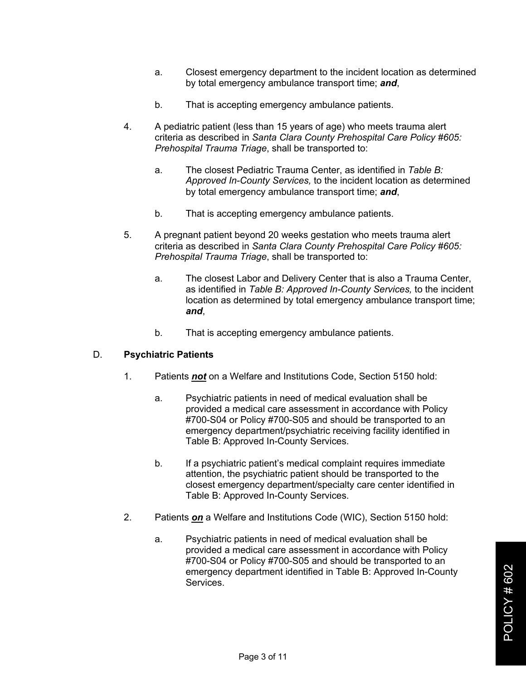- a. Closest emergency department to the incident location as determined by total emergency ambulance transport time; *and*,
- b. That is accepting emergency ambulance patients.
- 4. A pediatric patient (less than 15 years of age) who meets trauma alert criteria as described in *Santa Clara County Prehospital Care Policy #605: Prehospital Trauma Triage*, shall be transported to:
	- a. The closest Pediatric Trauma Center, as identified in *Table B: Approved In-County Services,* to the incident location as determined by total emergency ambulance transport time; *and*,
	- b. That is accepting emergency ambulance patients.
- 5. A pregnant patient beyond 20 weeks gestation who meets trauma alert criteria as described in *Santa Clara County Prehospital Care Policy #605: Prehospital Trauma Triage*, shall be transported to:
	- a. The closest Labor and Delivery Center that is also a Trauma Center, as identified in *Table B: Approved In-County Services,* to the incident location as determined by total emergency ambulance transport time; *and*,
	- b. That is accepting emergency ambulance patients.

#### D. **Psychiatric Patients**

- 1. Patients *not* on a Welfare and Institutions Code, Section 5150 hold:
	- a. Psychiatric patients in need of medical evaluation shall be provided a medical care assessment in accordance with Policy #700-S04 or Policy #700-S05 and should be transported to an emergency department/psychiatric receiving facility identified in Table B: Approved In-County Services.
	- b. If a psychiatric patient's medical complaint requires immediate attention, the psychiatric patient should be transported to the closest emergency department/specialty care center identified in Table B: Approved In-County Services.
- 2. Patients *on* a Welfare and Institutions Code (WIC), Section 5150 hold:
	- a. Psychiatric patients in need of medical evaluation shall be provided a medical care assessment in accordance with Policy #700-S04 or Policy #700-S05 and should be transported to an emergency department identified in Table B: Approved In-County Services.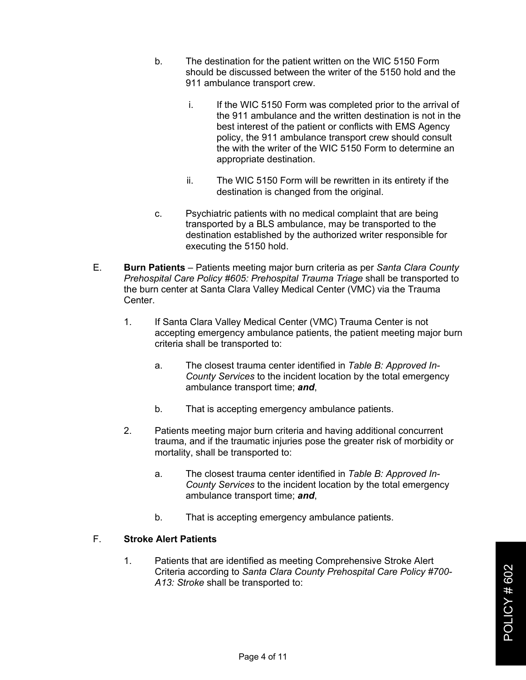- b. The destination for the patient written on the WIC 5150 Form should be discussed between the writer of the 5150 hold and the 911 ambulance transport crew.
	- i. If the WIC 5150 Form was completed prior to the arrival of the 911 ambulance and the written destination is not in the best interest of the patient or conflicts with EMS Agency policy, the 911 ambulance transport crew should consult the with the writer of the WIC 5150 Form to determine an appropriate destination.
	- ii. The WIC 5150 Form will be rewritten in its entirety if the destination is changed from the original.
- c. Psychiatric patients with no medical complaint that are being transported by a BLS ambulance, may be transported to the destination established by the authorized writer responsible for executing the 5150 hold.
- E. **Burn Patients** Patients meeting major burn criteria as per *Santa Clara County Prehospital Care Policy #605: Prehospital Trauma Triage* shall be transported to the burn center at Santa Clara Valley Medical Center (VMC) via the Trauma **Center** 
	- 1. If Santa Clara Valley Medical Center (VMC) Trauma Center is not accepting emergency ambulance patients, the patient meeting major burn criteria shall be transported to:
		- a. The closest trauma center identified in *Table B: Approved In-County Services* to the incident location by the total emergency ambulance transport time; *and*,
		- b. That is accepting emergency ambulance patients.
	- 2. Patients meeting major burn criteria and having additional concurrent trauma, and if the traumatic injuries pose the greater risk of morbidity or mortality, shall be transported to:
		- a. The closest trauma center identified in *Table B: Approved In-County Services* to the incident location by the total emergency ambulance transport time; *and*,
		- b. That is accepting emergency ambulance patients.

## F. **Stroke Alert Patients**

1. Patients that are identified as meeting Comprehensive Stroke Alert Criteria according to *Santa Clara County Prehospital Care Policy #700- A13: Stroke* shall be transported to: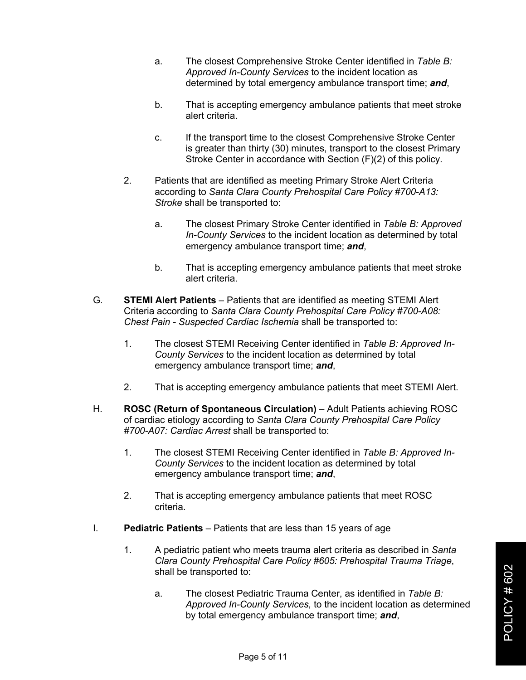- a. The closest Comprehensive Stroke Center identified in *Table B: Approved In-County Services* to the incident location as determined by total emergency ambulance transport time; *and*,
- b. That is accepting emergency ambulance patients that meet stroke alert criteria.
- c. If the transport time to the closest Comprehensive Stroke Center is greater than thirty (30) minutes, transport to the closest Primary Stroke Center in accordance with Section (F)(2) of this policy.
- 2. Patients that are identified as meeting Primary Stroke Alert Criteria according to *Santa Clara County Prehospital Care Policy #700-A13: Stroke* shall be transported to:
	- a. The closest Primary Stroke Center identified in *Table B: Approved In-County Services* to the incident location as determined by total emergency ambulance transport time; *and*,
	- b. That is accepting emergency ambulance patients that meet stroke alert criteria.
- G. **STEMI Alert Patients** Patients that are identified as meeting STEMI Alert Criteria according to *Santa Clara County Prehospital Care Policy #700-A08: Chest Pain - Suspected Cardiac Ischemia* shall be transported to:
	- 1. The closest STEMI Receiving Center identified in *Table B: Approved In-County Services* to the incident location as determined by total emergency ambulance transport time; *and*,
	- 2. That is accepting emergency ambulance patients that meet STEMI Alert.
- H. **ROSC (Return of Spontaneous Circulation)** Adult Patients achieving ROSC of cardiac etiology according to *Santa Clara County Prehospital Care Policy #700-A07: Cardiac Arrest* shall be transported to:
	- 1. The closest STEMI Receiving Center identified in *Table B: Approved In-County Services* to the incident location as determined by total emergency ambulance transport time; *and*,
	- 2. That is accepting emergency ambulance patients that meet ROSC criteria.
- I. **Pediatric Patients** Patients that are less than 15 years of age
	- 1. A pediatric patient who meets trauma alert criteria as described in *Santa Clara County Prehospital Care Policy #605: Prehospital Trauma Triage*, shall be transported to:
		- a. The closest Pediatric Trauma Center, as identified in *Table B: Approved In-County Services,* to the incident location as determined by total emergency ambulance transport time; *and*,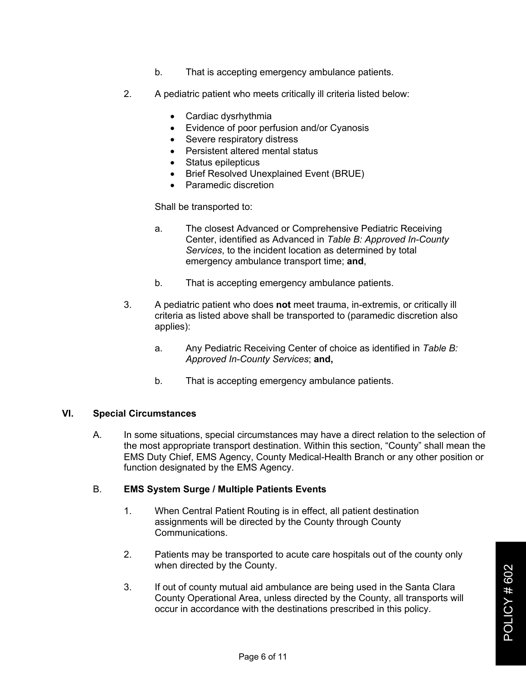- b. That is accepting emergency ambulance patients.
- 2. A pediatric patient who meets critically ill criteria listed below:
	- Cardiac dysrhythmia
	- Evidence of poor perfusion and/or Cyanosis
	- Severe respiratory distress
	- Persistent altered mental status
	- Status epilepticus
	- Brief Resolved Unexplained Event (BRUE)
	- Paramedic discretion

Shall be transported to:

- a. The closest Advanced or Comprehensive Pediatric Receiving Center, identified as Advanced in *Table B: Approved In-County Services*, to the incident location as determined by total emergency ambulance transport time; **and**,
- b. That is accepting emergency ambulance patients.
- 3. A pediatric patient who does **not** meet trauma, in-extremis, or critically ill criteria as listed above shall be transported to (paramedic discretion also applies):
	- a. Any Pediatric Receiving Center of choice as identified in *Table B: Approved In-County Services*; **and,**
	- b. That is accepting emergency ambulance patients.

## **VI. Special Circumstances**

A. In some situations, special circumstances may have a direct relation to the selection of the most appropriate transport destination. Within this section, "County" shall mean the EMS Duty Chief, EMS Agency, County Medical-Health Branch or any other position or function designated by the EMS Agency.

## B. **EMS System Surge / Multiple Patients Events**

- 1. When Central Patient Routing is in effect, all patient destination assignments will be directed by the County through County Communications.
- 2. Patients may be transported to acute care hospitals out of the county only when directed by the County.
- 3. If out of county mutual aid ambulance are being used in the Santa Clara County Operational Area, unless directed by the County, all transports will occur in accordance with the destinations prescribed in this policy.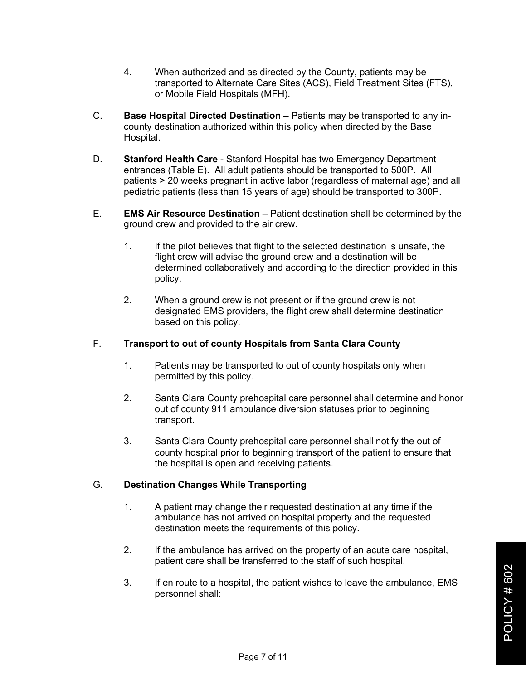- 4. When authorized and as directed by the County, patients may be transported to Alternate Care Sites (ACS), Field Treatment Sites (FTS), or Mobile Field Hospitals (MFH).
- C. **Base Hospital Directed Destination** Patients may be transported to any incounty destination authorized within this policy when directed by the Base Hospital.
- D. **Stanford Health Care**  Stanford Hospital has two Emergency Department entrances (Table E). All adult patients should be transported to 500P. All patients > 20 weeks pregnant in active labor (regardless of maternal age) and all pediatric patients (less than 15 years of age) should be transported to 300P.
- E. **EMS Air Resource Destination** Patient destination shall be determined by the ground crew and provided to the air crew.
	- 1. If the pilot believes that flight to the selected destination is unsafe, the flight crew will advise the ground crew and a destination will be determined collaboratively and according to the direction provided in this policy.
	- 2. When a ground crew is not present or if the ground crew is not designated EMS providers, the flight crew shall determine destination based on this policy.

## F. **Transport to out of county Hospitals from Santa Clara County**

- 1. Patients may be transported to out of county hospitals only when permitted by this policy.
- 2. Santa Clara County prehospital care personnel shall determine and honor out of county 911 ambulance diversion statuses prior to beginning transport.
- 3. Santa Clara County prehospital care personnel shall notify the out of county hospital prior to beginning transport of the patient to ensure that the hospital is open and receiving patients.

#### G. **Destination Changes While Transporting**

- 1. A patient may change their requested destination at any time if the ambulance has not arrived on hospital property and the requested destination meets the requirements of this policy.
- 2. If the ambulance has arrived on the property of an acute care hospital, patient care shall be transferred to the staff of such hospital.
- 3. If en route to a hospital, the patient wishes to leave the ambulance, EMS personnel shall: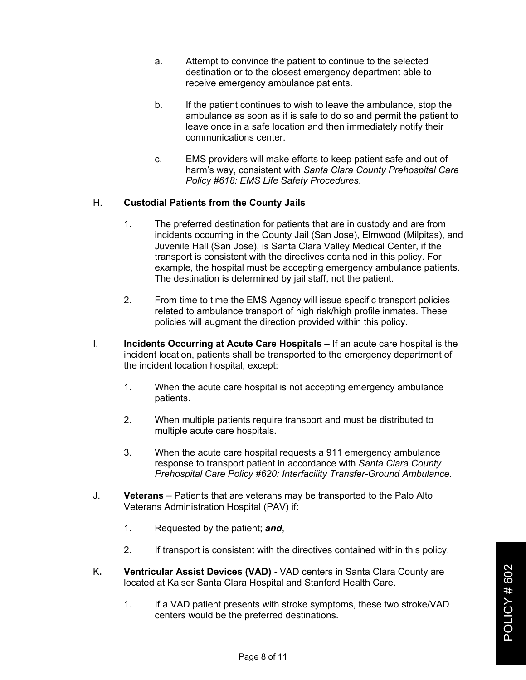- a. Attempt to convince the patient to continue to the selected destination or to the closest emergency department able to receive emergency ambulance patients.
- b. If the patient continues to wish to leave the ambulance, stop the ambulance as soon as it is safe to do so and permit the patient to leave once in a safe location and then immediately notify their communications center.
- c. EMS providers will make efforts to keep patient safe and out of harm's way, consistent with *Santa Clara County Prehospital Care Policy #618: EMS Life Safety Procedures*.

## H. **Custodial Patients from the County Jails**

- 1. The preferred destination for patients that are in custody and are from incidents occurring in the County Jail (San Jose), Elmwood (Milpitas), and Juvenile Hall (San Jose), is Santa Clara Valley Medical Center, if the transport is consistent with the directives contained in this policy. For example, the hospital must be accepting emergency ambulance patients. The destination is determined by jail staff, not the patient.
- 2. From time to time the EMS Agency will issue specific transport policies related to ambulance transport of high risk/high profile inmates. These policies will augment the direction provided within this policy.
- I. **Incidents Occurring at Acute Care Hospitals** If an acute care hospital is the incident location, patients shall be transported to the emergency department of the incident location hospital, except:
	- 1. When the acute care hospital is not accepting emergency ambulance patients.
	- 2. When multiple patients require transport and must be distributed to multiple acute care hospitals.
	- 3. When the acute care hospital requests a 911 emergency ambulance response to transport patient in accordance with *Santa Clara County Prehospital Care Policy #620: Interfacility Transfer-Ground Ambulance*.
- J. **Veterans** Patients that are veterans may be transported to the Palo Alto Veterans Administration Hospital (PAV) if:
	- 1. Requested by the patient; *and*,
	- 2. If transport is consistent with the directives contained within this policy.
- K**. Ventricular Assist Devices (VAD) -** VAD centers in Santa Clara County are located at Kaiser Santa Clara Hospital and Stanford Health Care.
	- 1. If a VAD patient presents with stroke symptoms, these two stroke/VAD centers would be the preferred destinations.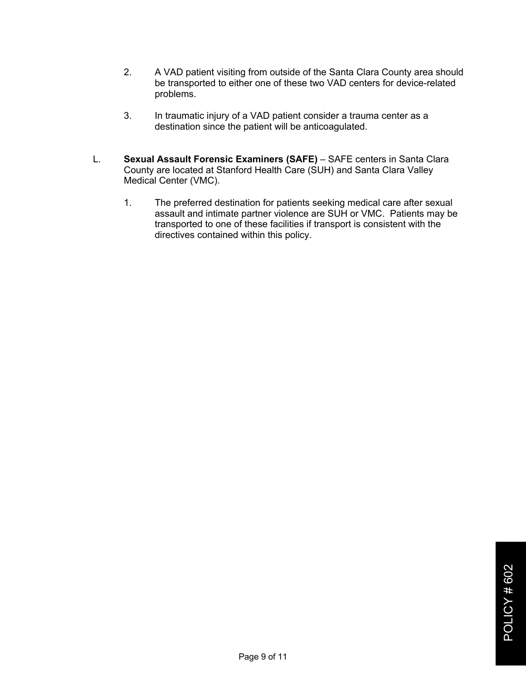- 2. A VAD patient visiting from outside of the Santa Clara County area should be transported to either one of these two VAD centers for device-related problems.
- 3. In traumatic injury of a VAD patient consider a trauma center as a destination since the patient will be anticoagulated.
- L. **Sexual Assault Forensic Examiners (SAFE)** SAFE centers in Santa Clara County are located at Stanford Health Care (SUH) and Santa Clara Valley Medical Center (VMC).
	- 1. The preferred destination for patients seeking medical care after sexual assault and intimate partner violence are SUH or VMC. Patients may be transported to one of these facilities if transport is consistent with the directives contained within this policy.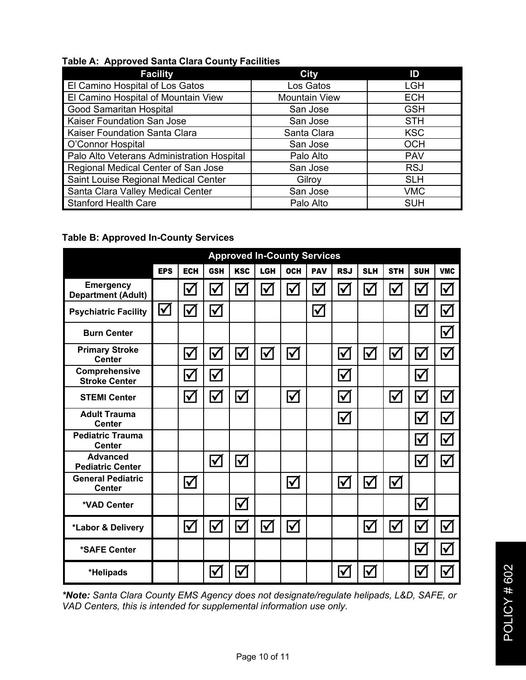# **Table A: Approved Santa Clara County Facilities**

| <b>Facility</b>                            | <b>City</b>          | ID         |
|--------------------------------------------|----------------------|------------|
| El Camino Hospital of Los Gatos            | Los Gatos            | <b>LGH</b> |
| El Camino Hospital of Mountain View        | <b>Mountain View</b> | <b>ECH</b> |
| Good Samaritan Hospital                    | San Jose             | <b>GSH</b> |
| Kaiser Foundation San Jose                 | San Jose             | <b>STH</b> |
| Kaiser Foundation Santa Clara              | Santa Clara          | <b>KSC</b> |
| O'Connor Hospital                          | San Jose             | <b>OCH</b> |
| Palo Alto Veterans Administration Hospital | Palo Alto            | <b>PAV</b> |
| Regional Medical Center of San Jose        | San Jose             | <b>RSJ</b> |
| Saint Louise Regional Medical Center       | Gilroy               | <b>SLH</b> |
| Santa Clara Valley Medical Center          | San Jose             | <b>VMC</b> |
| <b>Stanford Health Care</b>                | Palo Alto            | <b>SUH</b> |

## **Table B: Approved In-County Services**

| <b>Approved In-County Services</b>            |                      |                      |                        |                       |                      |                      |                         |                      |                      |                             |                         |                      |
|-----------------------------------------------|----------------------|----------------------|------------------------|-----------------------|----------------------|----------------------|-------------------------|----------------------|----------------------|-----------------------------|-------------------------|----------------------|
|                                               | <b>EPS</b>           | <b>ECH</b>           | <b>GSH</b>             | <b>KSC</b>            | <b>LGH</b>           | <b>OCH</b>           | <b>PAV</b>              | <b>RSJ</b>           | <b>SLH</b>           | <b>STH</b>                  | <b>SUH</b>              | <b>VMC</b>           |
| <b>Emergency</b><br><b>Department (Adult)</b> |                      | $\blacktriangledown$ | $\blacktriangledown$   | $\blacktriangledown$  | $\blacktriangledown$ | $\blacktriangledown$ | $\overline{\mathsf{v}}$ | $\blacklozenge$      | $\blacktriangledown$ | $\blacklozenge$             | $\blacktriangledown$    | $\blacktriangledown$ |
| <b>Psychiatric Facility</b>                   | $\blacktriangledown$ | $\blacktriangledown$ | $\bm{\triangledown}$   |                       |                      |                      | $\blacktriangledown$    |                      |                      |                             | $\blacktriangledown$    | $\blacktriangledown$ |
| <b>Burn Center</b>                            |                      |                      |                        |                       |                      |                      |                         |                      |                      |                             |                         | $\blacktriangledown$ |
| <b>Primary Stroke</b><br><b>Center</b>        |                      | $\blacktriangledown$ | $\bm{\mathsf{\Sigma}}$ | $\bm{\nabla}$         | $\blacktriangledown$ | $\blacktriangledown$ |                         | $\blacktriangledown$ | $\blacktriangledown$ | $\boldsymbol{\mathsf{\nu}}$ | $\blacktriangledown$    | $\blacktriangledown$ |
| Comprehensive<br><b>Stroke Center</b>         |                      | $\blacktriangledown$ | $\bm{\nabla}$          |                       |                      |                      |                         | $\blacktriangledown$ |                      |                             | $\blacktriangleright$   |                      |
| <b>STEMI Center</b>                           |                      | $\blacktriangledown$ | $\blacktriangledown$   | $\blacklozenge$       |                      | $\blacktriangledown$ |                         | $\blacktriangledown$ |                      | $\blacktriangledown$        | $\overline{\mathbf{V}}$ | $\blacktriangledown$ |
| <b>Adult Trauma</b><br><b>Center</b>          |                      |                      |                        |                       |                      |                      |                         | $\blacktriangledown$ |                      |                             | $\blacktriangledown$    | $\blacktriangledown$ |
| <b>Pediatric Trauma</b><br><b>Center</b>      |                      |                      |                        |                       |                      |                      |                         |                      |                      |                             | $\blacklozenge$         | $\blacktriangledown$ |
| <b>Advanced</b><br><b>Pediatric Center</b>    |                      |                      | $\blacktriangledown$   | $\blacktriangledown$  |                      |                      |                         |                      |                      |                             | $\blacktriangledown$    | $\blacktriangledown$ |
| <b>General Pediatric</b><br><b>Center</b>     |                      | $\blacktriangledown$ |                        |                       |                      | $\blacktriangledown$ |                         | $\blacktriangledown$ | $\blacktriangledown$ | $\blacktriangledown$        |                         |                      |
| *VAD Center                                   |                      |                      |                        | $\blacklozenge$       |                      |                      |                         |                      |                      |                             | $\blacklozenge$         |                      |
| *Labor & Delivery                             |                      | $\blacktriangledown$ | $\vec{v}$              | $\blacktriangleright$ | $\blacktriangledown$ | $\blacktriangledown$ |                         |                      | $\blacktriangledown$ | $\bm{\mathsf{\nu}}$         | $\blacktriangledown$    | $\blacktriangledown$ |
| *SAFE Center                                  |                      |                      |                        |                       |                      |                      |                         |                      |                      |                             | $\blacktriangledown$    | $\blacktriangledown$ |
| *Helipads                                     |                      |                      | $\blacktriangledown$   | ĪV                    |                      |                      |                         | ✔                    | V                    |                             | ✔                       | $\blacktriangledown$ |

*\*Note: Santa Clara County EMS Agency does not designate/regulate helipads, L&D, SAFE, or VAD Centers, this is intended for supplemental information use only.*